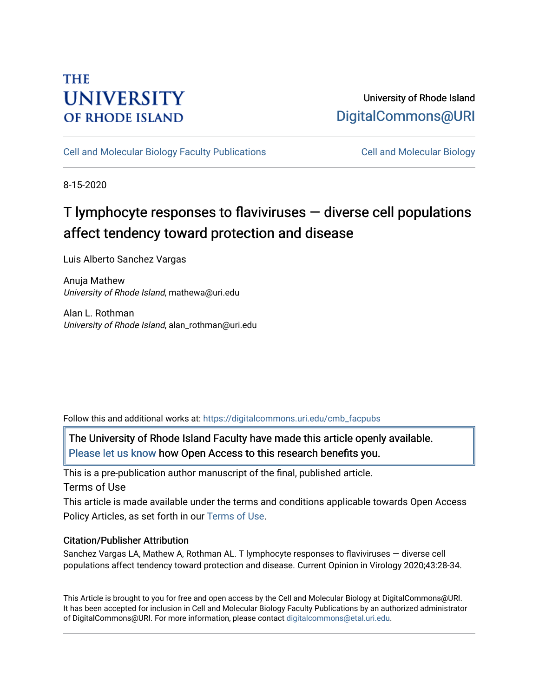# **THE UNIVERSITY OF RHODE ISLAND**

# University of Rhode Island [DigitalCommons@URI](https://digitalcommons.uri.edu/)

[Cell and Molecular Biology Faculty Publications](https://digitalcommons.uri.edu/cmb_facpubs) [Cell and Molecular Biology](https://digitalcommons.uri.edu/cmb) 

8-15-2020

# T lymphocyte responses to flaviviruses — diverse cell populations affect tendency toward protection and disease

Luis Alberto Sanchez Vargas

Anuja Mathew University of Rhode Island, mathewa@uri.edu

Alan L. Rothman University of Rhode Island, alan\_rothman@uri.edu

Follow this and additional works at: [https://digitalcommons.uri.edu/cmb\\_facpubs](https://digitalcommons.uri.edu/cmb_facpubs?utm_source=digitalcommons.uri.edu%2Fcmb_facpubs%2F137&utm_medium=PDF&utm_campaign=PDFCoverPages) 

The University of Rhode Island Faculty have made this article openly available. [Please let us know](http://web.uri.edu/library-digital-initiatives/open-access-online-form/) how Open Access to this research benefits you.

This is a pre-publication author manuscript of the final, published article. Terms of Use

This article is made available under the terms and conditions applicable towards Open Access Policy Articles, as set forth in our [Terms of Use](https://digitalcommons.uri.edu/cmb_facpubs/oa_policy_terms.html).

## Citation/Publisher Attribution

Sanchez Vargas LA, Mathew A, Rothman AL. T lymphocyte responses to flaviviruses — diverse cell populations affect tendency toward protection and disease. Current Opinion in Virology 2020;43:28-34.

This Article is brought to you for free and open access by the Cell and Molecular Biology at DigitalCommons@URI. It has been accepted for inclusion in Cell and Molecular Biology Faculty Publications by an authorized administrator of DigitalCommons@URI. For more information, please contact [digitalcommons@etal.uri.edu](mailto:digitalcommons@etal.uri.edu).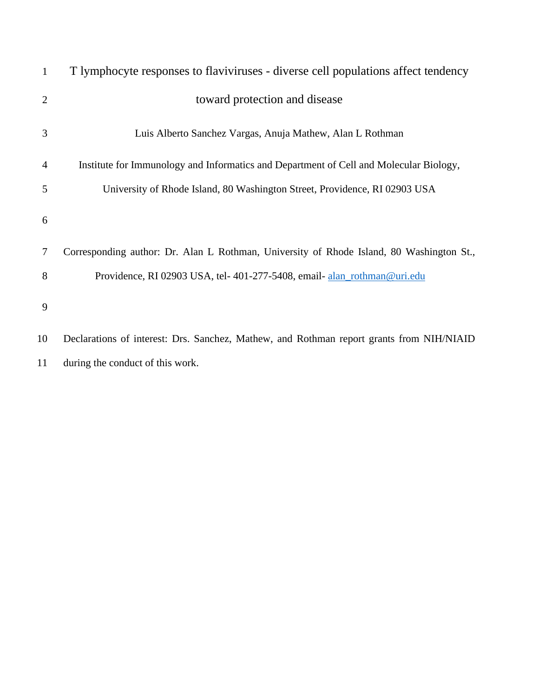| $\mathbf{1}$   | T lymphocyte responses to flaviviruses - diverse cell populations affect tendency        |
|----------------|------------------------------------------------------------------------------------------|
| $\overline{2}$ | toward protection and disease                                                            |
| 3              | Luis Alberto Sanchez Vargas, Anuja Mathew, Alan L Rothman                                |
| 4              | Institute for Immunology and Informatics and Department of Cell and Molecular Biology,   |
| 5              | University of Rhode Island, 80 Washington Street, Providence, RI 02903 USA               |
| 6              |                                                                                          |
| 7              | Corresponding author: Dr. Alan L Rothman, University of Rhode Island, 80 Washington St., |
| 8              | Providence, RI 02903 USA, tel-401-277-5408, email-alan_rothman@uri.edu                   |
| 9              |                                                                                          |
| 10             | Declarations of interest: Drs. Sanchez, Mathew, and Rothman report grants from NIH/NIAID |
| 11             | during the conduct of this work.                                                         |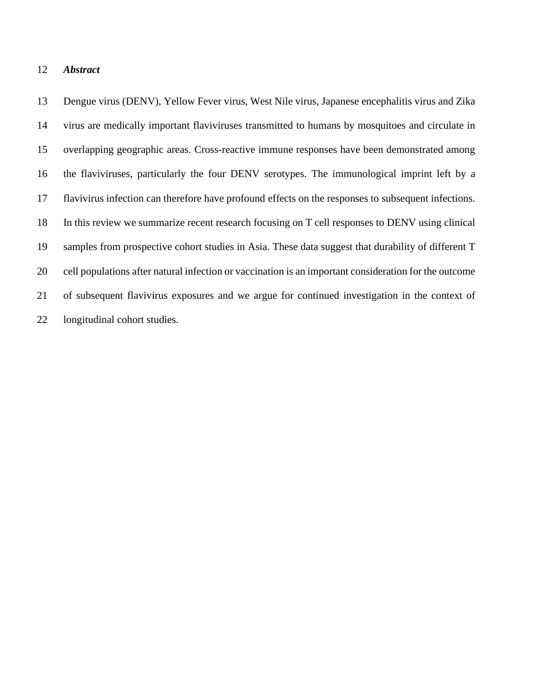#### *Abstract*

 Dengue virus (DENV), Yellow Fever virus, West Nile virus, Japanese encephalitis virus and Zika virus are medically important flaviviruses transmitted to humans by mosquitoes and circulate in overlapping geographic areas. Cross-reactive immune responses have been demonstrated among the flaviviruses, particularly the four DENV serotypes. The immunological imprint left by a flavivirus infection can therefore have profound effects on the responses to subsequent infections. In this review we summarize recent research focusing on T cell responses to DENV using clinical samples from prospective cohort studies in Asia. These data suggest that durability of different T cell populations after natural infection or vaccination is an important consideration for the outcome of subsequent flavivirus exposures and we argue for continued investigation in the context of longitudinal cohort studies.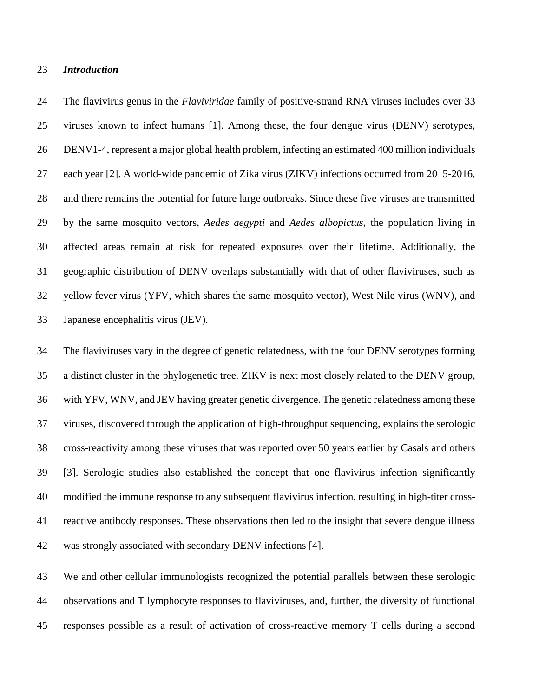#### *Introduction*

 The flavivirus genus in the *Flaviviridae* family of positive-strand RNA viruses includes over 33 viruses known to infect humans [1]. Among these, the four dengue virus (DENV) serotypes, DENV1-4, represent a major global health problem, infecting an estimated 400 million individuals each year [2]. A world-wide pandemic of Zika virus (ZIKV) infections occurred from 2015-2016, and there remains the potential for future large outbreaks. Since these five viruses are transmitted by the same mosquito vectors, *Aedes aegypti* and *Aedes albopictus*, the population living in affected areas remain at risk for repeated exposures over their lifetime. Additionally, the geographic distribution of DENV overlaps substantially with that of other flaviviruses, such as yellow fever virus (YFV, which shares the same mosquito vector), West Nile virus (WNV), and Japanese encephalitis virus (JEV).

 The flaviviruses vary in the degree of genetic relatedness, with the four DENV serotypes forming a distinct cluster in the phylogenetic tree. ZIKV is next most closely related to the DENV group, with YFV, WNV, and JEV having greater genetic divergence. The genetic relatedness among these viruses, discovered through the application of high-throughput sequencing, explains the serologic cross-reactivity among these viruses that was reported over 50 years earlier by Casals and others [3]. Serologic studies also established the concept that one flavivirus infection significantly modified the immune response to any subsequent flavivirus infection, resulting in high-titer cross- reactive antibody responses. These observations then led to the insight that severe dengue illness was strongly associated with secondary DENV infections [4].

 We and other cellular immunologists recognized the potential parallels between these serologic observations and T lymphocyte responses to flaviviruses, and, further, the diversity of functional responses possible as a result of activation of cross-reactive memory T cells during a second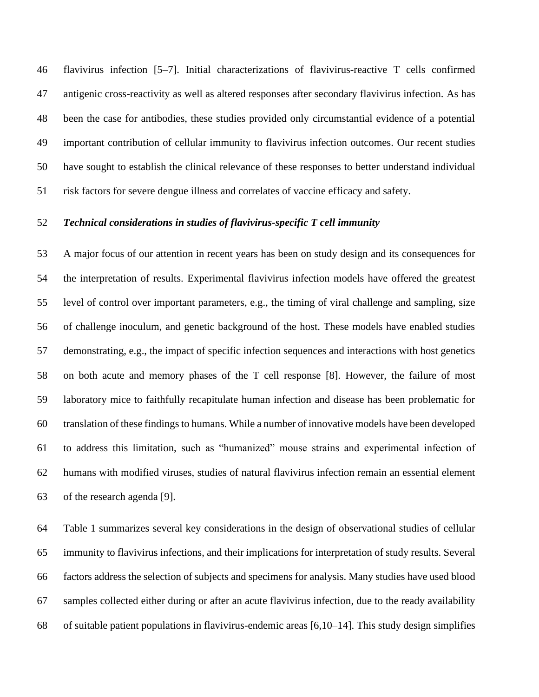flavivirus infection [5–7]. Initial characterizations of flavivirus-reactive T cells confirmed antigenic cross-reactivity as well as altered responses after secondary flavivirus infection. As has been the case for antibodies, these studies provided only circumstantial evidence of a potential important contribution of cellular immunity to flavivirus infection outcomes. Our recent studies have sought to establish the clinical relevance of these responses to better understand individual risk factors for severe dengue illness and correlates of vaccine efficacy and safety.

#### *Technical considerations in studies of flavivirus-specific T cell immunity*

 A major focus of our attention in recent years has been on study design and its consequences for the interpretation of results. Experimental flavivirus infection models have offered the greatest level of control over important parameters, e.g., the timing of viral challenge and sampling, size of challenge inoculum, and genetic background of the host. These models have enabled studies demonstrating, e.g., the impact of specific infection sequences and interactions with host genetics on both acute and memory phases of the T cell response [8]. However, the failure of most laboratory mice to faithfully recapitulate human infection and disease has been problematic for translation of these findings to humans. While a number of innovative models have been developed to address this limitation, such as "humanized" mouse strains and experimental infection of humans with modified viruses, studies of natural flavivirus infection remain an essential element of the research agenda [9].

 Table 1 summarizes several key considerations in the design of observational studies of cellular immunity to flavivirus infections, and their implications for interpretation of study results. Several factors address the selection of subjects and specimens for analysis. Many studies have used blood samples collected either during or after an acute flavivirus infection, due to the ready availability of suitable patient populations in flavivirus-endemic areas [6,10–14]. This study design simplifies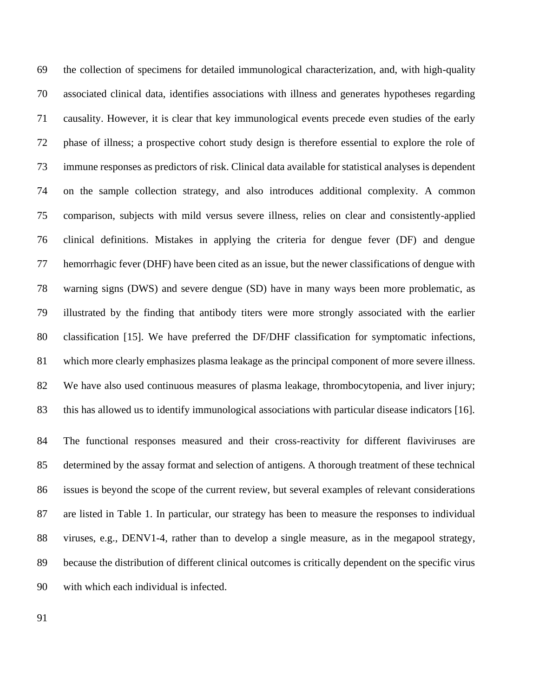the collection of specimens for detailed immunological characterization, and, with high-quality associated clinical data, identifies associations with illness and generates hypotheses regarding causality. However, it is clear that key immunological events precede even studies of the early phase of illness; a prospective cohort study design is therefore essential to explore the role of immune responses as predictors of risk. Clinical data available for statistical analyses is dependent on the sample collection strategy, and also introduces additional complexity. A common comparison, subjects with mild versus severe illness, relies on clear and consistently-applied clinical definitions. Mistakes in applying the criteria for dengue fever (DF) and dengue hemorrhagic fever (DHF) have been cited as an issue, but the newer classifications of dengue with warning signs (DWS) and severe dengue (SD) have in many ways been more problematic, as illustrated by the finding that antibody titers were more strongly associated with the earlier classification [15]. We have preferred the DF/DHF classification for symptomatic infections, which more clearly emphasizes plasma leakage as the principal component of more severe illness. We have also used continuous measures of plasma leakage, thrombocytopenia, and liver injury; this has allowed us to identify immunological associations with particular disease indicators [16].

 The functional responses measured and their cross-reactivity for different flaviviruses are determined by the assay format and selection of antigens. A thorough treatment of these technical issues is beyond the scope of the current review, but several examples of relevant considerations are listed in Table 1. In particular, our strategy has been to measure the responses to individual viruses, e.g., DENV1-4, rather than to develop a single measure, as in the megapool strategy, because the distribution of different clinical outcomes is critically dependent on the specific virus with which each individual is infected.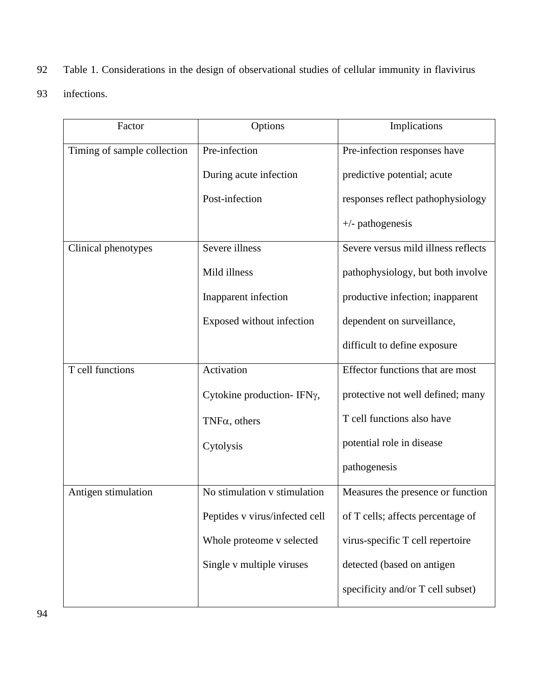- 92 Table 1. Considerations in the design of observational studies of cellular immunity in flavivirus
- 93 infections.

| Factor                      | Options                        | Implications                        |
|-----------------------------|--------------------------------|-------------------------------------|
| Timing of sample collection | Pre-infection                  | Pre-infection responses have        |
|                             | During acute infection         | predictive potential; acute         |
|                             | Post-infection                 | responses reflect pathophysiology   |
|                             |                                | $+/-$ pathogenesis                  |
| Clinical phenotypes         | Severe illness                 | Severe versus mild illness reflects |
|                             | Mild illness                   | pathophysiology, but both involve   |
|                             | Inapparent infection           | productive infection; inapparent    |
|                             | Exposed without infection      | dependent on surveillance,          |
|                             |                                | difficult to define exposure        |
| T cell functions            | Activation                     | Effector functions that are most    |
|                             | Cytokine production-IFNy,      | protective not well defined; many   |
|                             | $TNF\alpha$ , others           | T cell functions also have          |
|                             | Cytolysis                      | potential role in disease           |
|                             |                                | pathogenesis                        |
| Antigen stimulation         | No stimulation v stimulation   | Measures the presence or function   |
|                             | Peptides v virus/infected cell | of T cells; affects percentage of   |
|                             | Whole proteome v selected      | virus-specific T cell repertoire    |
|                             | Single v multiple viruses      | detected (based on antigen          |
|                             |                                | specificity and/or T cell subset)   |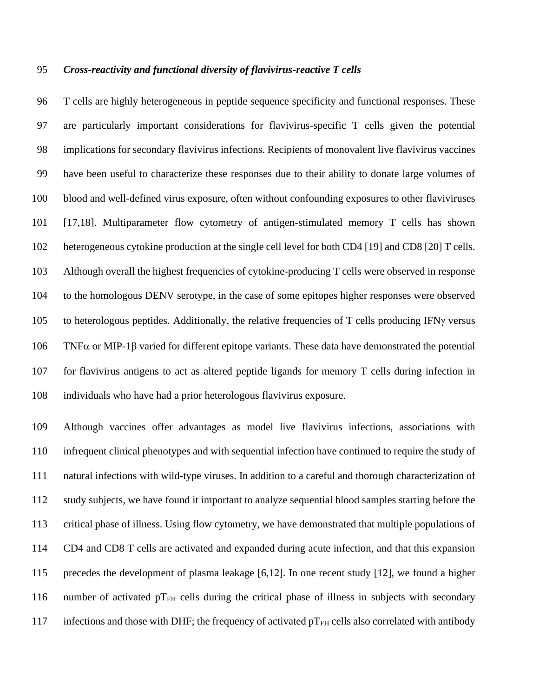### *Cross-reactivity and functional diversity of flavivirus-reactive T cells*

 T cells are highly heterogeneous in peptide sequence specificity and functional responses. These are particularly important considerations for flavivirus-specific T cells given the potential implications for secondary flavivirus infections. Recipients of monovalent live flavivirus vaccines have been useful to characterize these responses due to their ability to donate large volumes of blood and well-defined virus exposure, often without confounding exposures to other flaviviruses [17,18]. Multiparameter flow cytometry of antigen-stimulated memory T cells has shown heterogeneous cytokine production at the single cell level for both CD4 [19] and CD8 [20] T cells. Although overall the highest frequencies of cytokine-producing T cells were observed in response to the homologous DENV serotype, in the case of some epitopes higher responses were observed 105 to heterologous peptides. Additionally, the relative frequencies of  $T$  cells producing IFN $\gamma$  versus TNF $\alpha$  or MIP-1 $\beta$  varied for different epitope variants. These data have demonstrated the potential for flavivirus antigens to act as altered peptide ligands for memory T cells during infection in individuals who have had a prior heterologous flavivirus exposure.

 Although vaccines offer advantages as model live flavivirus infections, associations with infrequent clinical phenotypes and with sequential infection have continued to require the study of natural infections with wild-type viruses. In addition to a careful and thorough characterization of study subjects, we have found it important to analyze sequential blood samples starting before the critical phase of illness. Using flow cytometry, we have demonstrated that multiple populations of CD4 and CD8 T cells are activated and expanded during acute infection, and that this expansion precedes the development of plasma leakage [6,12]. In one recent study [12], we found a higher 116 number of activated  $pT<sub>FH</sub>$  cells during the critical phase of illness in subjects with secondary 117 infections and those with DHF; the frequency of activated  $pT<sub>FH</sub>$  cells also correlated with antibody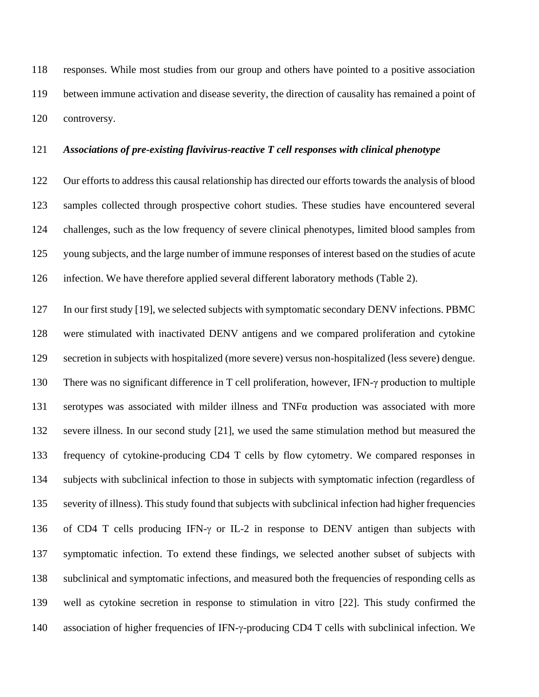responses. While most studies from our group and others have pointed to a positive association between immune activation and disease severity, the direction of causality has remained a point of controversy.

#### *Associations of pre-existing flavivirus-reactive T cell responses with clinical phenotype*

 Our efforts to address this causal relationship has directed our efforts towards the analysis of blood samples collected through prospective cohort studies. These studies have encountered several challenges, such as the low frequency of severe clinical phenotypes, limited blood samples from young subjects, and the large number of immune responses of interest based on the studies of acute infection. We have therefore applied several different laboratory methods (Table 2).

127 In our first study [19], we selected subjects with symptomatic secondary DENV infections. PBMC were stimulated with inactivated DENV antigens and we compared proliferation and cytokine secretion in subjects with hospitalized (more severe) versus non-hospitalized (less severe) dengue. There was no significant difference in T cell proliferation, however, IFN-γ production to multiple serotypes was associated with milder illness and TNFα production was associated with more severe illness. In our second study [21], we used the same stimulation method but measured the frequency of cytokine-producing CD4 T cells by flow cytometry. We compared responses in subjects with subclinical infection to those in subjects with symptomatic infection (regardless of severity of illness). This study found that subjects with subclinical infection had higher frequencies 136 of CD4 T cells producing IFN- $\gamma$  or IL-2 in response to DENV antigen than subjects with symptomatic infection. To extend these findings, we selected another subset of subjects with subclinical and symptomatic infections, and measured both the frequencies of responding cells as well as cytokine secretion in response to stimulation in vitro [22]. This study confirmed the 140 association of higher frequencies of IFN- $\gamma$ -producing CD4 T cells with subclinical infection. We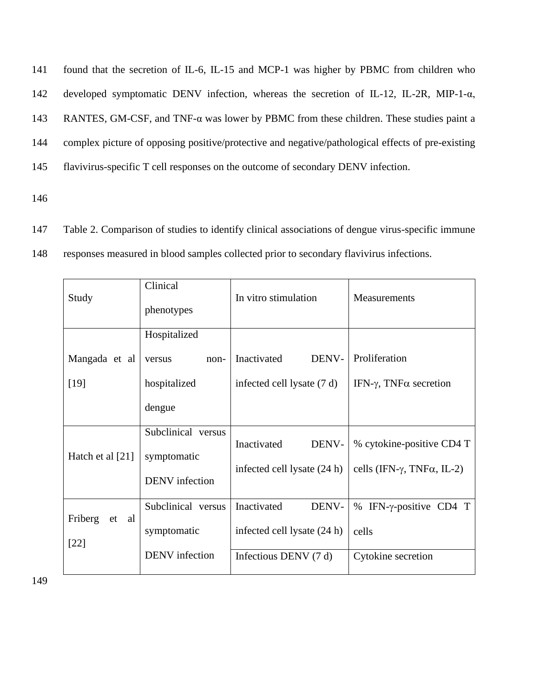found that the secretion of IL-6, IL-15 and MCP-1 was higher by PBMC from children who developed symptomatic DENV infection, whereas the secretion of IL-12, IL-2R, MIP-1-α, RANTES, GM-CSF, and TNF-α was lower by PBMC from these children. These studies paint a complex picture of opposing positive/protective and negative/pathological effects of pre-existing flavivirus-specific T cell responses on the outcome of secondary DENV infection.

146

- 147 Table 2. Comparison of studies to identify clinical associations of dengue virus-specific immune
- 148 responses measured in blood samples collected prior to secondary flavivirus infections.

| Study            | Clinical<br>phenotypes            | In vitro stimulation        | Measurements                                |
|------------------|-----------------------------------|-----------------------------|---------------------------------------------|
|                  | Hospitalized                      |                             |                                             |
| Mangada et al    | versus<br>$non-$                  | DENV-<br>Inactivated        | Proliferation                               |
| $[19]$           | hospitalized                      | infected cell lysate (7 d)  | IFN-γ, TNFα secretion                       |
|                  | dengue                            |                             |                                             |
| Hatch et al [21] | Subclinical versus<br>symptomatic | Inactivated<br>DENV-        | % cytokine-positive CD4 T                   |
|                  | <b>DENV</b> infection             | infected cell lysate (24 h) | cells (IFN- $\gamma$ , TNF $\alpha$ , IL-2) |
| Friberg<br>al    | Subclinical versus                | Inactivated<br>DENV-        | IFN- $\gamma$ -positive CD4 T<br>%          |
| et<br>$[22]$     | symptomatic                       | infected cell lysate (24 h) | cells                                       |
|                  | <b>DENV</b> infection             | Infectious DENV $(7 d)$     | Cytokine secretion                          |

149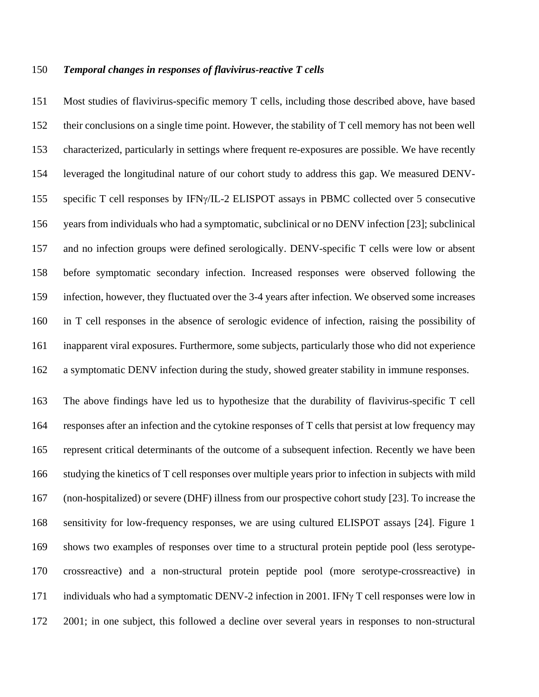#### *Temporal changes in responses of flavivirus-reactive T cells*

 Most studies of flavivirus-specific memory T cells, including those described above, have based their conclusions on a single time point. However, the stability of T cell memory has not been well characterized, particularly in settings where frequent re-exposures are possible. We have recently leveraged the longitudinal nature of our cohort study to address this gap. We measured DENV- specific T cell responses by IFN/IL-2 ELISPOT assays in PBMC collected over 5 consecutive years from individuals who had a symptomatic, subclinical or no DENV infection [23]; subclinical and no infection groups were defined serologically. DENV-specific T cells were low or absent before symptomatic secondary infection. Increased responses were observed following the infection, however, they fluctuated over the 3-4 years after infection. We observed some increases in T cell responses in the absence of serologic evidence of infection, raising the possibility of inapparent viral exposures. Furthermore, some subjects, particularly those who did not experience a symptomatic DENV infection during the study, showed greater stability in immune responses.

 The above findings have led us to hypothesize that the durability of flavivirus-specific T cell responses after an infection and the cytokine responses of T cells that persist at low frequency may represent critical determinants of the outcome of a subsequent infection. Recently we have been studying the kinetics of T cell responses over multiple years prior to infection in subjects with mild (non-hospitalized) or severe (DHF) illness from our prospective cohort study [23]. To increase the sensitivity for low-frequency responses, we are using cultured ELISPOT assays [24]. Figure 1 shows two examples of responses over time to a structural protein peptide pool (less serotype- crossreactive) and a non-structural protein peptide pool (more serotype-crossreactive) in 171 individuals who had a symptomatic DENV-2 infection in 2001. IFN $\gamma$  T cell responses were low in 2001; in one subject, this followed a decline over several years in responses to non-structural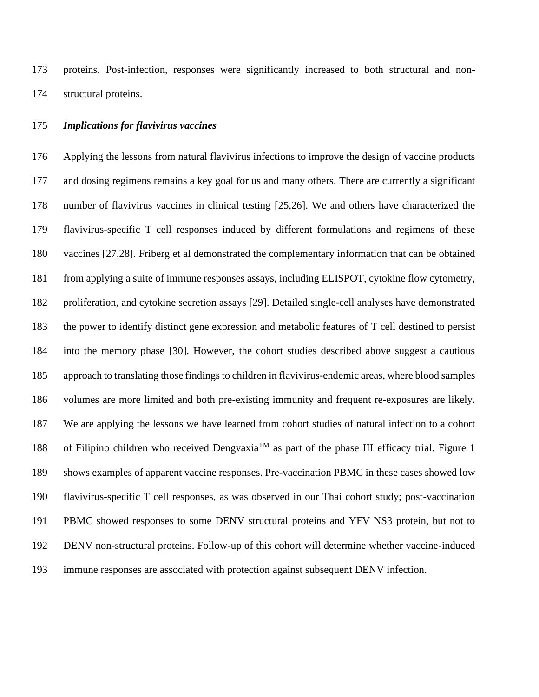proteins. Post-infection, responses were significantly increased to both structural and non-structural proteins.

#### *Implications for flavivirus vaccines*

 Applying the lessons from natural flavivirus infections to improve the design of vaccine products and dosing regimens remains a key goal for us and many others. There are currently a significant number of flavivirus vaccines in clinical testing [25,26]. We and others have characterized the flavivirus-specific T cell responses induced by different formulations and regimens of these vaccines [27,28]. Friberg et al demonstrated the complementary information that can be obtained from applying a suite of immune responses assays, including ELISPOT, cytokine flow cytometry, proliferation, and cytokine secretion assays [29]. Detailed single-cell analyses have demonstrated the power to identify distinct gene expression and metabolic features of T cell destined to persist into the memory phase [30]. However, the cohort studies described above suggest a cautious approach to translating those findings to children in flavivirus-endemic areas, where blood samples volumes are more limited and both pre-existing immunity and frequent re-exposures are likely. We are applying the lessons we have learned from cohort studies of natural infection to a cohort 188 of Filipino children who received Dengvaxia<sup>TM</sup> as part of the phase III efficacy trial. Figure 1 shows examples of apparent vaccine responses. Pre-vaccination PBMC in these cases showed low flavivirus-specific T cell responses, as was observed in our Thai cohort study; post-vaccination PBMC showed responses to some DENV structural proteins and YFV NS3 protein, but not to DENV non-structural proteins. Follow-up of this cohort will determine whether vaccine-induced immune responses are associated with protection against subsequent DENV infection.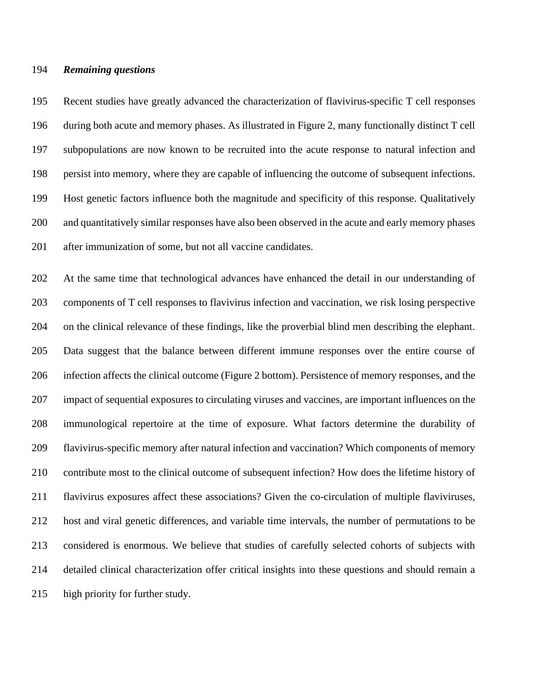#### *Remaining questions*

 Recent studies have greatly advanced the characterization of flavivirus-specific T cell responses during both acute and memory phases. As illustrated in Figure 2, many functionally distinct T cell subpopulations are now known to be recruited into the acute response to natural infection and persist into memory, where they are capable of influencing the outcome of subsequent infections. Host genetic factors influence both the magnitude and specificity of this response. Qualitatively and quantitatively similar responses have also been observed in the acute and early memory phases after immunization of some, but not all vaccine candidates.

 At the same time that technological advances have enhanced the detail in our understanding of components of T cell responses to flavivirus infection and vaccination, we risk losing perspective on the clinical relevance of these findings, like the proverbial blind men describing the elephant. Data suggest that the balance between different immune responses over the entire course of infection affects the clinical outcome (Figure 2 bottom). Persistence of memory responses, and the impact of sequential exposures to circulating viruses and vaccines, are important influences on the immunological repertoire at the time of exposure. What factors determine the durability of flavivirus-specific memory after natural infection and vaccination? Which components of memory contribute most to the clinical outcome of subsequent infection? How does the lifetime history of flavivirus exposures affect these associations? Given the co-circulation of multiple flaviviruses, host and viral genetic differences, and variable time intervals, the number of permutations to be considered is enormous. We believe that studies of carefully selected cohorts of subjects with detailed clinical characterization offer critical insights into these questions and should remain a high priority for further study.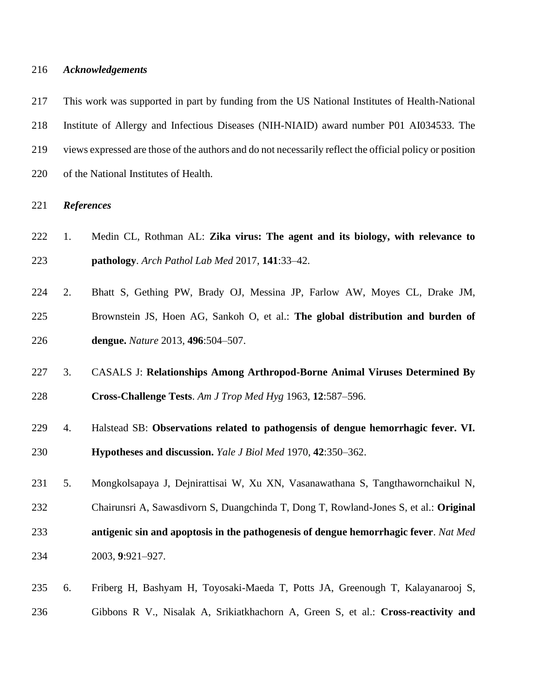#### *Acknowledgements*

 This work was supported in part by funding from the US National Institutes of Health-National Institute of Allergy and Infectious Diseases (NIH-NIAID) award number P01 AI034533. The views expressed are those of the authors and do not necessarily reflect the official policy or position of the National Institutes of Health.

#### *References*

- 1. Medin CL, Rothman AL: **Zika virus: The agent and its biology, with relevance to pathology**. *Arch Pathol Lab Med* 2017, **141**:33–42.
- 2. Bhatt S, Gething PW, Brady OJ, Messina JP, Farlow AW, Moyes CL, Drake JM, Brownstein JS, Hoen AG, Sankoh O, et al.: **The global distribution and burden of dengue.** *Nature* 2013, **496**:504–507.
- 3. CASALS J: **Relationships Among Arthropod-Borne Animal Viruses Determined By Cross-Challenge Tests**. *Am J Trop Med Hyg* 1963, **12**:587–596.
- 4. Halstead SB: **Observations related to pathogensis of dengue hemorrhagic fever. VI. Hypotheses and discussion.** *Yale J Biol Med* 1970, **42**:350–362.
- 5. Mongkolsapaya J, Dejnirattisai W, Xu XN, Vasanawathana S, Tangthawornchaikul N, Chairunsri A, Sawasdivorn S, Duangchinda T, Dong T, Rowland-Jones S, et al.: **Original antigenic sin and apoptosis in the pathogenesis of dengue hemorrhagic fever**. *Nat Med* 2003, **9**:921–927.
- 6. Friberg H, Bashyam H, Toyosaki-Maeda T, Potts JA, Greenough T, Kalayanarooj S, Gibbons R V., Nisalak A, Srikiatkhachorn A, Green S, et al.: **Cross-reactivity and**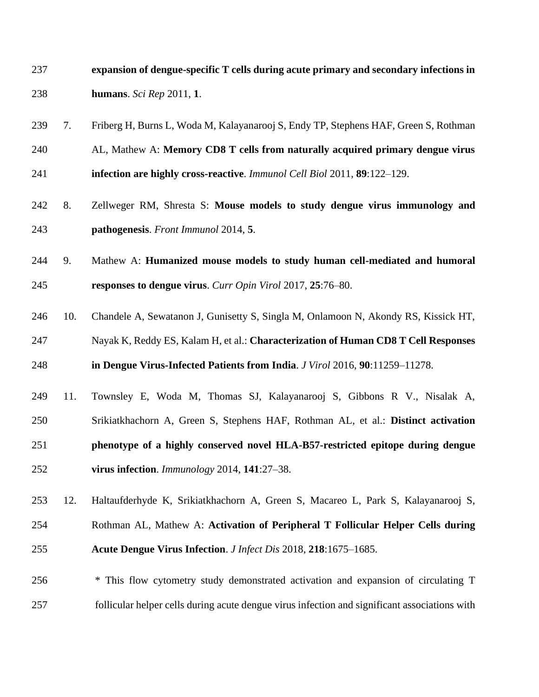| 237 |     | expansion of dengue-specific T cells during acute primary and secondary infections in |
|-----|-----|---------------------------------------------------------------------------------------|
| 238 |     | humans. Sci Rep 2011, 1.                                                              |
| 239 | 7.  | Friberg H, Burns L, Woda M, Kalayanarooj S, Endy TP, Stephens HAF, Green S, Rothman   |
| 240 |     | AL, Mathew A: Memory CD8 T cells from naturally acquired primary dengue virus         |
| 241 |     | infection are highly cross-reactive. <i>Immunol Cell Biol</i> 2011, 89:122–129.       |
| 242 | 8.  | Zellweger RM, Shresta S: Mouse models to study dengue virus immunology and            |
| 243 |     | pathogenesis. Front Immunol 2014, 5.                                                  |
| 244 | 9.  | Mathew A: Humanized mouse models to study human cell-mediated and humoral             |
| 245 |     | responses to dengue virus. Curr Opin Virol 2017, 25:76-80.                            |
| 246 | 10. | Chandele A, Sewatanon J, Gunisetty S, Singla M, Onlamoon N, Akondy RS, Kissick HT,    |
| 247 |     | Nayak K, Reddy ES, Kalam H, et al.: Characterization of Human CD8 T Cell Responses    |
| 248 |     | in Dengue Virus-Infected Patients from India. J Virol 2016, 90:11259-11278.           |
| 249 | 11. | Townsley E, Woda M, Thomas SJ, Kalayanarooj S, Gibbons R V., Nisalak A,               |
| 250 |     | Srikiatkhachorn A, Green S, Stephens HAF, Rothman AL, et al.: Distinct activation     |
| 251 |     | phenotype of a highly conserved novel HLA-B57-restricted epitope during dengue        |
| 252 |     | virus infection. <i>Immunology</i> 2014, $141:27-38$ .                                |
| 253 | 12. | Haltaufderhyde K, Srikiatkhachorn A, Green S, Macareo L, Park S, Kalayanarooj S,      |
| 254 |     | Rothman AL, Mathew A: Activation of Peripheral T Follicular Helper Cells during       |
| 255 |     | Acute Dengue Virus Infection. J Infect Dis 2018, 218:1675-1685.                       |
| 256 |     | * This flow cytometry study demonstrated activation and expansion of circulating T    |

follicular helper cells during acute dengue virus infection and significant associations with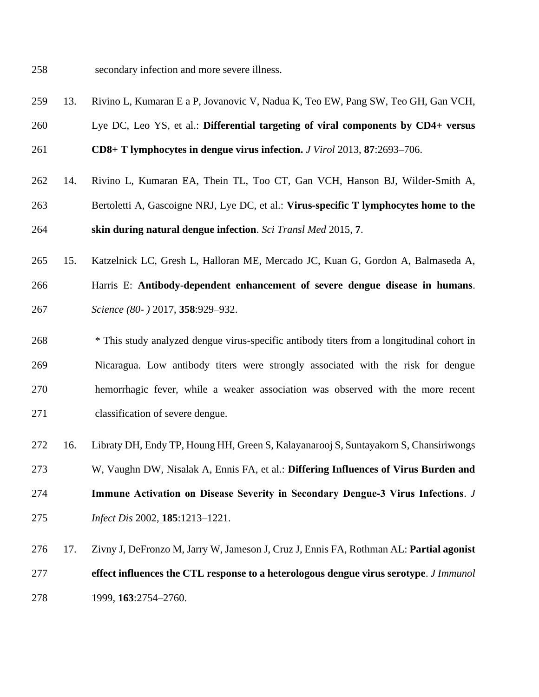secondary infection and more severe illness.

- 13. Rivino L, Kumaran E a P, Jovanovic V, Nadua K, Teo EW, Pang SW, Teo GH, Gan VCH,
- Lye DC, Leo YS, et al.: **Differential targeting of viral components by CD4+ versus**
- **CD8+ T lymphocytes in dengue virus infection.** *J Virol* 2013, **87**:2693–706.
- 14. Rivino L, Kumaran EA, Thein TL, Too CT, Gan VCH, Hanson BJ, Wilder-Smith A, Bertoletti A, Gascoigne NRJ, Lye DC, et al.: **Virus-specific T lymphocytes home to the skin during natural dengue infection**. *Sci Transl Med* 2015, **7**.
- 15. Katzelnick LC, Gresh L, Halloran ME, Mercado JC, Kuan G, Gordon A, Balmaseda A,
- Harris E: **Antibody-dependent enhancement of severe dengue disease in humans**. *Science (80- )* 2017, **358**:929–932.
- \* This study analyzed dengue virus-specific antibody titers from a longitudinal cohort in Nicaragua. Low antibody titers were strongly associated with the risk for dengue hemorrhagic fever, while a weaker association was observed with the more recent classification of severe dengue.
- 16. Libraty DH, Endy TP, Houng HH, Green S, Kalayanarooj S, Suntayakorn S, Chansiriwongs
- W, Vaughn DW, Nisalak A, Ennis FA, et al.: **Differing Influences of Virus Burden and**
- **Immune Activation on Disease Severity in Secondary Dengue‐3 Virus Infections**. *J Infect Dis* 2002, **185**:1213–1221.
- 17. Zivny J, DeFronzo M, Jarry W, Jameson J, Cruz J, Ennis FA, Rothman AL: **Partial agonist effect influences the CTL response to a heterologous dengue virus serotype**. *J Immunol* 1999, **163**:2754–2760.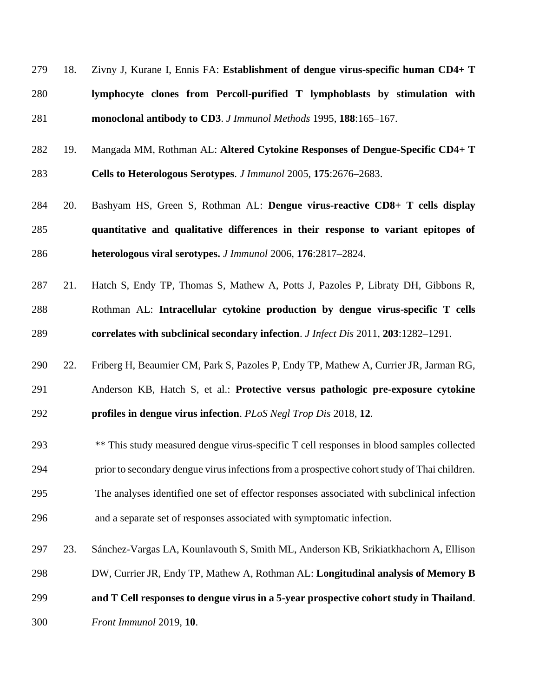| 279 | 18. Zivny J, Kurane I, Ennis FA: Establishment of dengue virus-specific human CD4+ T |
|-----|--------------------------------------------------------------------------------------|
| 280 | lymphocyte clones from Percoll-purified T lymphoblasts by stimulation with           |
| 281 | monoclonal antibody to CD3. J Immunol Methods 1995, 188:165-167.                     |

- 19. Mangada MM, Rothman AL: **Altered Cytokine Responses of Dengue-Specific CD4+ T Cells to Heterologous Serotypes**. *J Immunol* 2005, **175**:2676–2683.
- 20. Bashyam HS, Green S, Rothman AL: **Dengue virus-reactive CD8+ T cells display quantitative and qualitative differences in their response to variant epitopes of heterologous viral serotypes.** *J Immunol* 2006, **176**:2817–2824.
- 21. Hatch S, Endy TP, Thomas S, Mathew A, Potts J, Pazoles P, Libraty DH, Gibbons R, Rothman AL: **Intracellular cytokine production by dengue virus-specific T cells correlates with subclinical secondary infection**. *J Infect Dis* 2011, **203**:1282–1291.
- 22. Friberg H, Beaumier CM, Park S, Pazoles P, Endy TP, Mathew A, Currier JR, Jarman RG, Anderson KB, Hatch S, et al.: **Protective versus pathologic pre-exposure cytokine profiles in dengue virus infection**. *PLoS Negl Trop Dis* 2018, **12**.
- \*\* This study measured dengue virus-specific T cell responses in blood samples collected prior to secondary dengue virus infections from a prospective cohort study of Thai children. The analyses identified one set of effector responses associated with subclinical infection and a separate set of responses associated with symptomatic infection.
- 23. Sánchez-Vargas LA, Kounlavouth S, Smith ML, Anderson KB, Srikiatkhachorn A, Ellison DW, Currier JR, Endy TP, Mathew A, Rothman AL: **Longitudinal analysis of Memory B and T Cell responses to dengue virus in a 5-year prospective cohort study in Thailand**.
- *Front Immunol* 2019, **10**.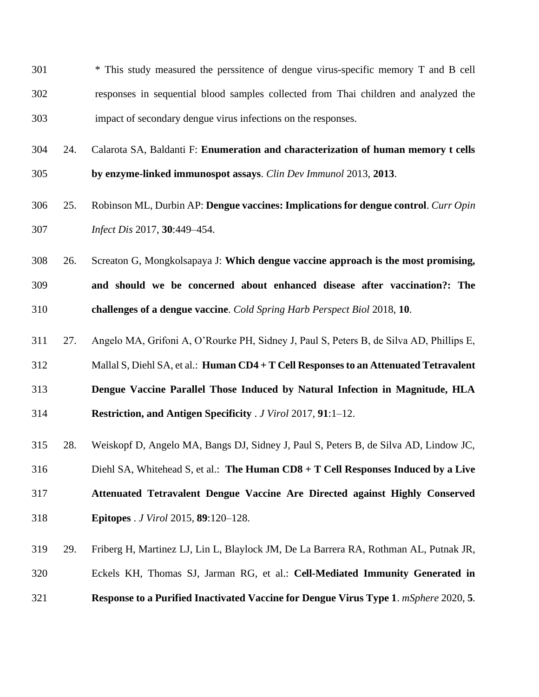- \* This study measured the perssitence of dengue virus-specific memory T and B cell responses in sequential blood samples collected from Thai children and analyzed the impact of secondary dengue virus infections on the responses.
- 24. Calarota SA, Baldanti F: **Enumeration and characterization of human memory t cells by enzyme-linked immunospot assays**. *Clin Dev Immunol* 2013, **2013**.
- 25. Robinson ML, Durbin AP: **Dengue vaccines: Implications for dengue control**. *Curr Opin Infect Dis* 2017, **30**:449–454.
- 26. Screaton G, Mongkolsapaya J: **Which dengue vaccine approach is the most promising, and should we be concerned about enhanced disease after vaccination?: The challenges of a dengue vaccine**. *Cold Spring Harb Perspect Biol* 2018, **10**.
- 27. Angelo MA, Grifoni A, O'Rourke PH, Sidney J, Paul S, Peters B, de Silva AD, Phillips E,
- Mallal S, Diehl SA, et al.: **Human CD4 + T Cell Responses to an Attenuated Tetravalent**
- **Dengue Vaccine Parallel Those Induced by Natural Infection in Magnitude, HLA**
- **Restriction, and Antigen Specificity** . *J Virol* 2017, **91**:1–12.
- 28. Weiskopf D, Angelo MA, Bangs DJ, Sidney J, Paul S, Peters B, de Silva AD, Lindow JC,
- Diehl SA, Whitehead S, et al.: **The Human CD8 + T Cell Responses Induced by a Live**
- **Attenuated Tetravalent Dengue Vaccine Are Directed against Highly Conserved Epitopes** . *J Virol* 2015, **89**:120–128.
- 29. Friberg H, Martinez LJ, Lin L, Blaylock JM, De La Barrera RA, Rothman AL, Putnak JR, Eckels KH, Thomas SJ, Jarman RG, et al.: **Cell-Mediated Immunity Generated in Response to a Purified Inactivated Vaccine for Dengue Virus Type 1**. *mSphere* 2020, **5**.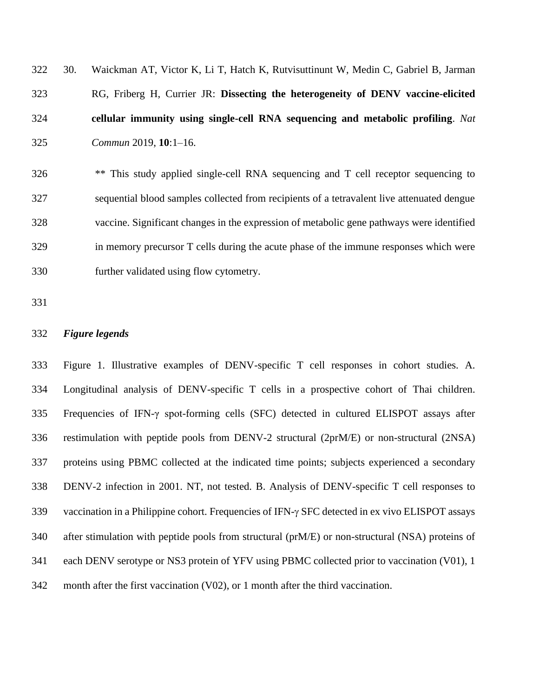| 322 | 30. | Waickman AT, Victor K, Li T, Hatch K, Rutvisuttinunt W, Medin C, Gabriel B, Jarman |
|-----|-----|------------------------------------------------------------------------------------|
| 323 |     | RG, Friberg H, Currier JR: Dissecting the heterogeneity of DENV vaccine-elicited   |
| 324 |     | cellular immunity using single-cell RNA sequencing and metabolic profiling. Nat    |
| 325 |     | <i>Commun</i> 2019, $10:1-16$ .                                                    |

 \*\* This study applied single-cell RNA sequencing and T cell receptor sequencing to sequential blood samples collected from recipients of a tetravalent live attenuated dengue vaccine. Significant changes in the expression of metabolic gene pathways were identified in memory precursor T cells during the acute phase of the immune responses which were further validated using flow cytometry.

## *Figure legends*

 Figure 1. Illustrative examples of DENV-specific T cell responses in cohort studies. A. Longitudinal analysis of DENV-specific T cells in a prospective cohort of Thai children. Frequencies of IFN-γ spot-forming cells (SFC) detected in cultured ELISPOT assays after restimulation with peptide pools from DENV-2 structural (2prM/E) or non-structural (2NSA) proteins using PBMC collected at the indicated time points; subjects experienced a secondary DENV-2 infection in 2001. NT, not tested. B. Analysis of DENV-specific T cell responses to 339 vaccination in a Philippine cohort. Frequencies of IFN- $\gamma$  SFC detected in ex vivo ELISPOT assays after stimulation with peptide pools from structural (prM/E) or non-structural (NSA) proteins of each DENV serotype or NS3 protein of YFV using PBMC collected prior to vaccination (V01), 1 month after the first vaccination (V02), or 1 month after the third vaccination.